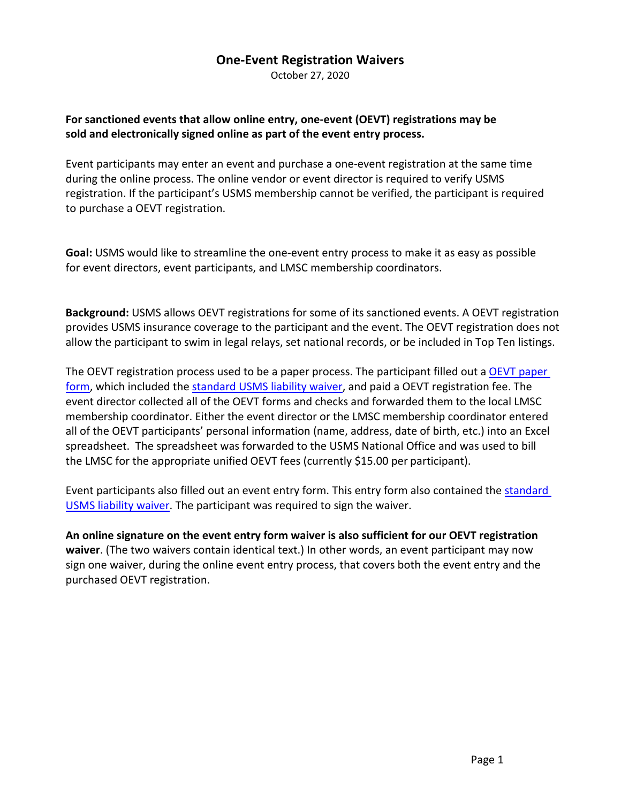## **One-Event Registration Waivers**

October 27, 2020

### **For sanctioned events that allow online entry, one-event (OEVT) registrations may be sold and electronically signed online as part of the event entry process.**

Event participants may enter an event and purchase a one-event registration at the same time during the online process. The online vendor or event director is required to verify USMS registration. If the participant's USMS membership cannot be verified, the participant is required to purchase a OEVT registration.

**Goal:** USMS would like to streamline the one-event entry process to make it as easy as possible for event directors, event participants, and LMSC membership coordinators.

**Background:** USMS allows OEVT registrations for some of its sanctioned events. A OEVT registration provides USMS insurance coverage to the participant and the event. The OEVT registration does not allow the participant to swim in legal relays, set national records, or be included in Top Ten listings.

The OEVT registration process used to be a [paper](https://www.usms.org/-/media/usms/pdfs/guide%20to%20operations%20-%20gto/registration/paper%20registration%20forms/gto_reg_oevt_form.pdf) process. The participant filled out a OEVT paper [form,](https://www.usms.org/-/media/usms/pdfs/guide%20to%20operations%20-%20gto/registration/paper%20registration%20forms/gto_reg_oevt_form.pdf) which included the [standard USMS liability waiver,](https://www.usms.org/-/media/usms/pdfs/guide%20to%20operations%20-%20gto/insurance/covid19_waiver_pdf.pdf) and paid a OEVT registration fee. The event director collected all of the OEVT forms and checks and forwarded them to the local LMSC membership coordinator. Either the event director or the LMSC membership coordinator entered all of the OEVT participants' personal information (name, address, date of birth, etc.) into an Excel spreadsheet. The spreadsheet was forwarded to the USMS National Office and was used to bill the LMSC for the appropriate unified OEVT fees (currently \$15.00 per participant).

Event participants also filled out an event entry form. This entry form also contained the [standard](https://www.usms.org/-/media/usms/pdfs/guide%20to%20operations%20-%20gto/insurance/covid19_waiver_pdf.pdf)  [USMS liability waiver.](https://www.usms.org/-/media/usms/pdfs/guide%20to%20operations%20-%20gto/insurance/covid19_waiver_pdf.pdf) The participant was required to sign the waiver.

**An online signature on the event entry form waiver is also sufficient for our OEVT registration waiver**. (The two waivers contain identical text.) In other words, an event participant may now sign one waiver, during the online event entry process, that covers both the event entry and the purchased OEVT registration.